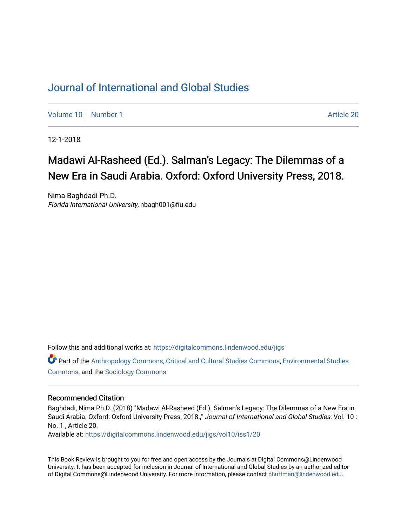## [Journal of International and Global Studies](https://digitalcommons.lindenwood.edu/jigs)

[Volume 10](https://digitalcommons.lindenwood.edu/jigs/vol10) [Number 1](https://digitalcommons.lindenwood.edu/jigs/vol10/iss1) Article 20

12-1-2018

## Madawi Al-Rasheed (Ed.). Salman's Legacy: The Dilemmas of a New Era in Saudi Arabia. Oxford: Oxford University Press, 2018.

Nima Baghdadi Ph.D. Florida International University, nbagh001@fiu.edu

Follow this and additional works at: [https://digitalcommons.lindenwood.edu/jigs](https://digitalcommons.lindenwood.edu/jigs?utm_source=digitalcommons.lindenwood.edu%2Fjigs%2Fvol10%2Fiss1%2F20&utm_medium=PDF&utm_campaign=PDFCoverPages) 

Part of the [Anthropology Commons](http://network.bepress.com/hgg/discipline/318?utm_source=digitalcommons.lindenwood.edu%2Fjigs%2Fvol10%2Fiss1%2F20&utm_medium=PDF&utm_campaign=PDFCoverPages), [Critical and Cultural Studies Commons](http://network.bepress.com/hgg/discipline/328?utm_source=digitalcommons.lindenwood.edu%2Fjigs%2Fvol10%2Fiss1%2F20&utm_medium=PDF&utm_campaign=PDFCoverPages), [Environmental Studies](http://network.bepress.com/hgg/discipline/1333?utm_source=digitalcommons.lindenwood.edu%2Fjigs%2Fvol10%2Fiss1%2F20&utm_medium=PDF&utm_campaign=PDFCoverPages)  [Commons](http://network.bepress.com/hgg/discipline/1333?utm_source=digitalcommons.lindenwood.edu%2Fjigs%2Fvol10%2Fiss1%2F20&utm_medium=PDF&utm_campaign=PDFCoverPages), and the [Sociology Commons](http://network.bepress.com/hgg/discipline/416?utm_source=digitalcommons.lindenwood.edu%2Fjigs%2Fvol10%2Fiss1%2F20&utm_medium=PDF&utm_campaign=PDFCoverPages)

## Recommended Citation

Baghdadi, Nima Ph.D. (2018) "Madawi Al-Rasheed (Ed.). Salman's Legacy: The Dilemmas of a New Era in Saudi Arabia. Oxford: Oxford University Press, 2018.," Journal of International and Global Studies: Vol. 10 : No. 1 , Article 20.

Available at: [https://digitalcommons.lindenwood.edu/jigs/vol10/iss1/20](https://digitalcommons.lindenwood.edu/jigs/vol10/iss1/20?utm_source=digitalcommons.lindenwood.edu%2Fjigs%2Fvol10%2Fiss1%2F20&utm_medium=PDF&utm_campaign=PDFCoverPages) 

This Book Review is brought to you for free and open access by the Journals at Digital Commons@Lindenwood University. It has been accepted for inclusion in Journal of International and Global Studies by an authorized editor of Digital Commons@Lindenwood University. For more information, please contact [phuffman@lindenwood.edu](mailto:phuffman@lindenwood.edu).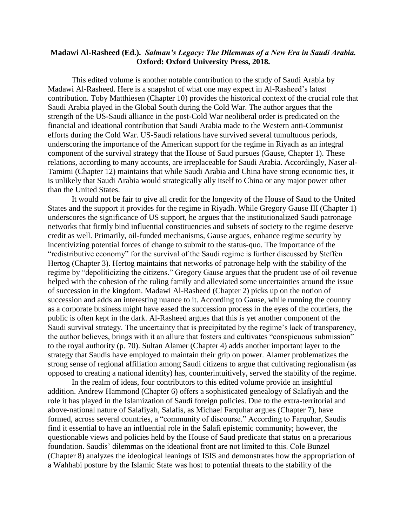## **Madawi Al-Rasheed (Ed.).** *Salman's Legacy: The Dilemmas of a New Era in Saudi Arabia.* **Oxford: Oxford University Press, 2018.**

This edited volume is another notable contribution to the study of Saudi Arabia by Madawi Al-Rasheed. Here is a snapshot of what one may expect in Al-Rasheed's latest contribution. Toby Matthiesen (Chapter 10) provides the historical context of the crucial role that Saudi Arabia played in the Global South during the Cold War. The author argues that the strength of the US-Saudi alliance in the post-Cold War neoliberal order is predicated on the financial and ideational contribution that Saudi Arabia made to the Western anti-Communist efforts during the Cold War. US-Saudi relations have survived several tumultuous periods, underscoring the importance of the American support for the regime in Riyadh as an integral component of the survival strategy that the House of Saud pursues (Gause, Chapter 1). These relations, according to many accounts, are irreplaceable for Saudi Arabia. Accordingly, Naser al-Tamimi (Chapter 12) maintains that while Saudi Arabia and China have strong economic ties, it is unlikely that Saudi Arabia would strategically ally itself to China or any major power other than the United States.

It would not be fair to give all credit for the longevity of the House of Saud to the United States and the support it provides for the regime in Riyadh. While Gregory Gause III (Chapter 1) underscores the significance of US support, he argues that the institutionalized Saudi patronage networks that firmly bind influential constituencies and subsets of society to the regime deserve credit as well. Primarily, oil-funded mechanisms, Gause argues, enhance regime security by incentivizing potential forces of change to submit to the status-quo. The importance of the "redistributive economy" for the survival of the Saudi regime is further discussed by Steffen Hertog (Chapter 3). Hertog maintains that networks of patronage help with the stability of the regime by "depoliticizing the citizens." Gregory Gause argues that the prudent use of oil revenue helped with the cohesion of the ruling family and alleviated some uncertainties around the issue of succession in the kingdom. Madawi Al-Rasheed (Chapter 2) picks up on the notion of succession and adds an interesting nuance to it. According to Gause, while running the country as a corporate business might have eased the succession process in the eyes of the courtiers, the public is often kept in the dark. Al-Rasheed argues that this is yet another component of the Saudi survival strategy. The uncertainty that is precipitated by the regime's lack of transparency, the author believes, brings with it an allure that fosters and cultivates "conspicuous submission" to the royal authority (p. 70). Sultan Alamer (Chapter 4) adds another important layer to the strategy that Saudis have employed to maintain their grip on power. Alamer problematizes the strong sense of regional affiliation among Saudi citizens to argue that cultivating regionalism (as opposed to creating a national identity) has, counterintuitively, served the stability of the regime.

In the realm of ideas, four contributors to this edited volume provide an insightful addition. Andrew Hammond (Chapter 6) offers a sophisticated genealogy of Salafiyah and the role it has played in the Islamization of Saudi foreign policies. Due to the extra-territorial and above-national nature of Salafiyah, Salafis, as Michael Farquhar argues (Chapter 7), have formed, across several countries, a "community of discourse." According to Farquhar, Saudis find it essential to have an influential role in the Salafi epistemic community; however, the questionable views and policies held by the House of Saud predicate that status on a precarious foundation. Saudis' dilemmas on the ideational front are not limited to this. Cole Bunzel (Chapter 8) analyzes the ideological leanings of ISIS and demonstrates how the appropriation of a Wahhabi posture by the Islamic State was host to potential threats to the stability of the